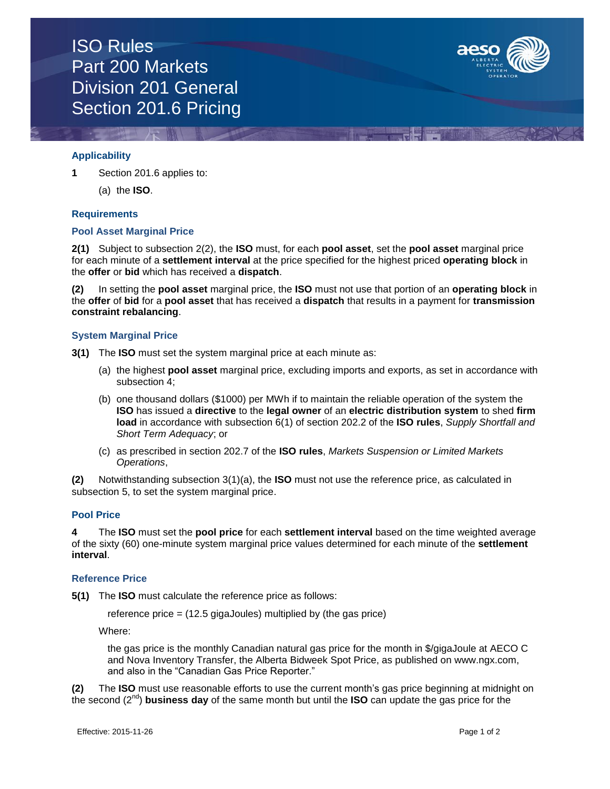

# **Applicability**

**1** Section 201.6 applies to:

(a) the **ISO**.

## **Requirements**

## **Pool Asset Marginal Price**

**2(1)** Subject to subsection 2(2), the **ISO** must, for each **pool asset**, set the **pool asset** marginal price for each minute of a **settlement interval** at the price specified for the highest priced **operating block** in the **offer** or **bid** which has received a **dispatch**.

**(2)** In setting the **pool asset** marginal price, the **ISO** must not use that portion of an **operating block** in the **offer** of **bid** for a **pool asset** that has received a **dispatch** that results in a payment for **transmission constraint rebalancing**.

## **System Marginal Price**

- **3(1)** The **ISO** must set the system marginal price at each minute as:
	- (a) the highest **pool asset** marginal price, excluding imports and exports, as set in accordance with subsection 4;
	- (b) one thousand dollars (\$1000) per MWh if to maintain the reliable operation of the system the **ISO** has issued a **directive** to the **legal owner** of an **electric distribution system** to shed **firm load** in accordance with subsection 6(1) of section 202.2 of the **ISO rules**, *Supply Shortfall and Short Term Adequacy*; or
	- (c) as prescribed in section 202.7 of the **ISO rules**, *Markets Suspension or Limited Markets Operations*,

**(2)** Notwithstanding subsection 3(1)(a), the **ISO** must not use the reference price, as calculated in subsection 5, to set the system marginal price.

# **Pool Price**

**4** The **ISO** must set the **pool price** for each **settlement interval** based on the time weighted average of the sixty (60) one-minute system marginal price values determined for each minute of the **settlement interval**.

#### **Reference Price**

**5(1)** The **ISO** must calculate the reference price as follows:

reference price = (12.5 gigaJoules) multiplied by (the gas price)

Where:

the gas price is the monthly Canadian natural gas price for the month in \$/gigaJoule at AECO C and Nova Inventory Transfer, the Alberta Bidweek Spot Price, as published on www.ngx.com, and also in the "Canadian Gas Price Reporter."

**(2)** The **ISO** must use reasonable efforts to use the current month's gas price beginning at midnight on the second (2nd) **business day** of the same month but until the **ISO** can update the gas price for the